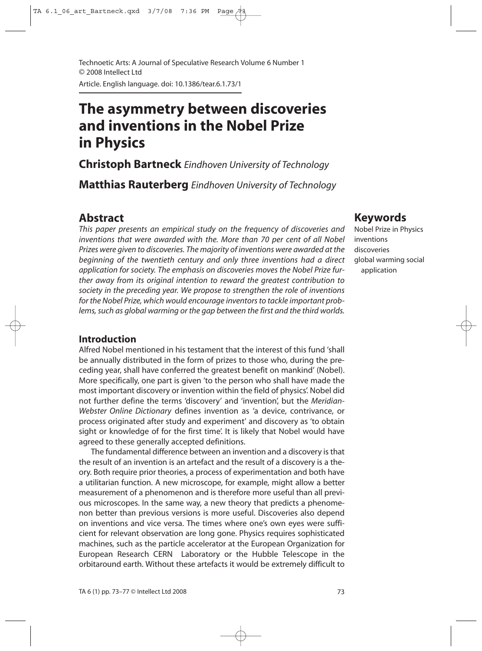Technoetic Arts: A Journal of Speculative Research Volume 6 Number 1 © 2008 Intellect Ltd Article. English language. doi: 10.1386/tear.6.1.73/1

# **The asymmetry between discoveries and inventions in the Nobel Prize in Physics**

**Christoph Bartneck** *Eindhoven University of Technology*

**Matthias Rauterberg** *Eindhoven University of Technology*

## **Abstract**

*This paper presents an empirical study on the frequency of discoveries and inventions that were awarded with the. More than 70 per cent of all Nobel Prizes were given to discoveries. The majority of inventions were awarded at the beginning of the twentieth century and only three inventions had a direct application for society. The emphasis on discoveries moves the Nobel Prize further away from its original intention to reward the greatest contribution to society in the preceding year. We propose to strengthen the role of inventions for the Nobel Prize, which would encourage inventors to tackle important problems, such as global warming or the gap between the first and the third worlds.* 

### **Introduction**

Alfred Nobel mentioned in his testament that the interest of this fund 'shall be annually distributed in the form of prizes to those who, during the preceding year, shall have conferred the greatest benefit on mankind' (Nobel). More specifically, one part is given 'to the person who shall have made the most important discovery or invention within the field of physics'. Nobel did not further define the terms 'discovery' and 'invention', but the *Meridian-Webster Online Dictionary* defines invention as 'a device, contrivance, or process originated after study and experiment' and discovery as 'to obtain sight or knowledge of for the first time'. It is likely that Nobel would have agreed to these generally accepted definitions.

The fundamental difference between an invention and a discovery is that the result of an invention is an artefact and the result of a discovery is a theory. Both require prior theories, a process of experimentation and both have a utilitarian function. A new microscope, for example, might allow a better measurement of a phenomenon and is therefore more useful than all previous microscopes. In the same way, a new theory that predicts a phenomenon better than previous versions is more useful. Discoveries also depend on inventions and vice versa. The times where one's own eyes were sufficient for relevant observation are long gone. Physics requires sophisticated machines, such as the particle accelerator at the European Organization for European Research CERN Laboratory or the Hubble Telescope in the orbitaround earth. Without these artefacts it would be extremely difficult to

### **Keywords**

Nobel Prize in Physics inventions discoveries global warming social application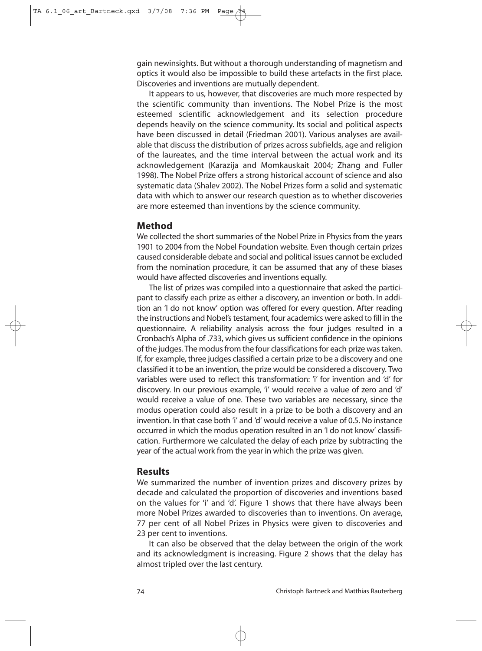gain newinsights. But without a thorough understanding of magnetism and optics it would also be impossible to build these artefacts in the first place. Discoveries and inventions are mutually dependent.

It appears to us, however, that discoveries are much more respected by the scientific community than inventions. The Nobel Prize is the most esteemed scientific acknowledgement and its selection procedure depends heavily on the science community. Its social and political aspects have been discussed in detail (Friedman 2001). Various analyses are available that discuss the distribution of prizes across subfields, age and religion of the laureates, and the time interval between the actual work and its acknowledgement (Karazija and Momkauskait 2004; Zhang and Fuller 1998). The Nobel Prize offers a strong historical account of science and also systematic data (Shalev 2002). The Nobel Prizes form a solid and systematic data with which to answer our research question as to whether discoveries are more esteemed than inventions by the science community.

#### **Method**

We collected the short summaries of the Nobel Prize in Physics from the years 1901 to 2004 from the Nobel Foundation website. Even though certain prizes caused considerable debate and social and political issues cannot be excluded from the nomination procedure, it can be assumed that any of these biases would have affected discoveries and inventions equally.

The list of prizes was compiled into a questionnaire that asked the participant to classify each prize as either a discovery, an invention or both. In addition an 'I do not know' option was offered for every question. After reading the instructions and Nobel's testament, four academics were asked to fill in the questionnaire. A reliability analysis across the four judges resulted in a Cronbach's Alpha of .733, which gives us sufficient confidence in the opinions of the judges. The modus from the four classifications for each prize was taken. If, for example, three judges classified a certain prize to be a discovery and one classified it to be an invention, the prize would be considered a discovery. Two variables were used to reflect this transformation: 'i' for invention and 'd' for discovery. In our previous example, 'i' would receive a value of zero and 'd' would receive a value of one. These two variables are necessary, since the modus operation could also result in a prize to be both a discovery and an invention. In that case both 'i' and 'd' would receive a value of 0.5. No instance occurred in which the modus operation resulted in an 'I do not know' classification. Furthermore we calculated the delay of each prize by subtracting the year of the actual work from the year in which the prize was given.

#### **Results**

We summarized the number of invention prizes and discovery prizes by decade and calculated the proportion of discoveries and inventions based on the values for 'i' and 'd'. Figure 1 shows that there have always been more Nobel Prizes awarded to discoveries than to inventions. On average, 77 per cent of all Nobel Prizes in Physics were given to discoveries and 23 per cent to inventions.

It can also be observed that the delay between the origin of the work and its acknowledgment is increasing. Figure 2 shows that the delay has almost tripled over the last century.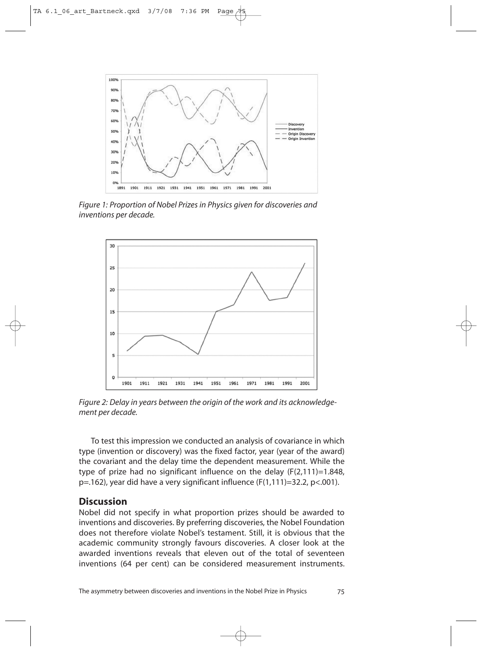

*Figure 1: Proportion of Nobel Prizes in Physics given for discoveries and inventions per decade.*



*Figure 2: Delay in years between the origin of the work and its acknowledgement per decade.*

To test this impression we conducted an analysis of covariance in which type (invention or discovery) was the fixed factor, year (year of the award) the covariant and the delay time the dependent measurement. While the type of prize had no significant influence on the delay (F(2,111)=1.848, p=.162), year did have a very significant influence (F(1,111)=32.2, p<.001).

#### **Discussion**

Nobel did not specify in what proportion prizes should be awarded to inventions and discoveries. By preferring discoveries, the Nobel Foundation does not therefore violate Nobel's testament. Still, it is obvious that the academic community strongly favours discoveries. A closer look at the awarded inventions reveals that eleven out of the total of seventeen inventions (64 per cent) can be considered measurement instruments.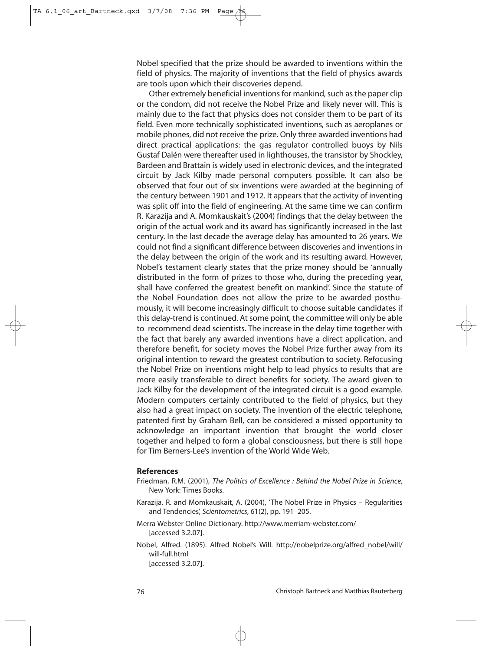Nobel specified that the prize should be awarded to inventions within the field of physics. The majority of inventions that the field of physics awards are tools upon which their discoveries depend.

Other extremely beneficial inventions for mankind, such as the paper clip or the condom, did not receive the Nobel Prize and likely never will. This is mainly due to the fact that physics does not consider them to be part of its field. Even more technically sophisticated inventions, such as aeroplanes or mobile phones, did not receive the prize. Only three awarded inventions had direct practical applications: the gas regulator controlled buoys by Nils Gustaf Dalén were thereafter used in lighthouses, the transistor by Shockley, Bardeen and Brattain is widely used in electronic devices, and the integrated circuit by Jack Kilby made personal computers possible. It can also be observed that four out of six inventions were awarded at the beginning of the century between 1901 and 1912. It appears that the activity of inventing was split off into the field of engineering. At the same time we can confirm R. Karazija and A. Momkauskait's (2004) findings that the delay between the origin of the actual work and its award has significantly increased in the last century. In the last decade the average delay has amounted to 26 years. We could not find a significant difference between discoveries and inventions in the delay between the origin of the work and its resulting award. However, Nobel's testament clearly states that the prize money should be 'annually distributed in the form of prizes to those who, during the preceding year, shall have conferred the greatest benefit on mankind'. Since the statute of the Nobel Foundation does not allow the prize to be awarded posthumously, it will become increasingly difficult to choose suitable candidates if this delay-trend is continued. At some point, the committee will only be able to recommend dead scientists. The increase in the delay time together with the fact that barely any awarded inventions have a direct application, and therefore benefit, for society moves the Nobel Prize further away from its original intention to reward the greatest contribution to society. Refocusing the Nobel Prize on inventions might help to lead physics to results that are more easily transferable to direct benefits for society. The award given to Jack Kilby for the development of the integrated circuit is a good example. Modern computers certainly contributed to the field of physics, but they also had a great impact on society. The invention of the electric telephone, patented first by Graham Bell, can be considered a missed opportunity to acknowledge an important invention that brought the world closer together and helped to form a global consciousness, but there is still hope for Tim Berners-Lee's invention of the World Wide Web.

#### **References**

- Friedman, R.M. (2001), *The Politics of Excellence : Behind the Nobel Prize in Science*, New York: Times Books.
- Karazija, R. and Momkauskait, A. (2004), 'The Nobel Prize in Physics Regularities and Tendencies', *Scientometrics*, 61(2), pp. 191–205.
- Merra Webster Online Dictionary. http://www.merriam-webster.com/ [accessed 3.2.07].
- Nobel, Alfred. (1895). Alfred Nobel's Will. http://nobelprize.org/alfred\_nobel/will/ will-full.html [accessed 3.2.07].